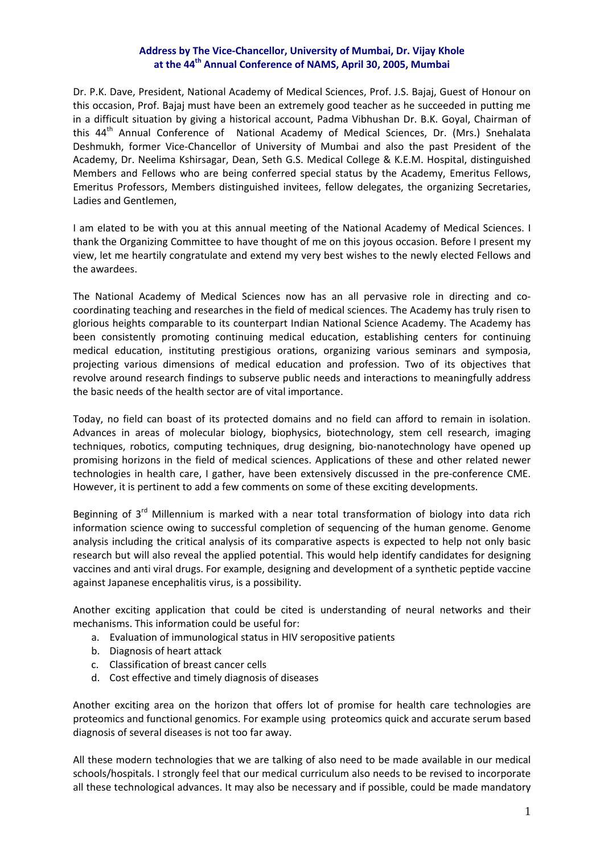## **Address by The Vice‐Chancellor, University of Mumbai, Dr. Vijay Khole at the 44th Annual Conference of NAMS, April 30, 2005, Mumbai**

Dr. P.K. Dave, President, National Academy of Medical Sciences, Prof. J.S. Bajaj, Guest of Honour on this occasion, Prof. Bajaj must have been an extremely good teacher as he succeeded in putting me in a difficult situation by giving a historical account, Padma Vibhushan Dr. B.K. Goyal, Chairman of this 44<sup>th</sup> Annual Conference of National Academy of Medical Sciences, Dr. (Mrs.) Snehalata Deshmukh, former Vice‐Chancellor of University of Mumbai and also the past President of the Academy, Dr. Neelima Kshirsagar, Dean, Seth G.S. Medical College & K.E.M. Hospital, distinguished Members and Fellows who are being conferred special status by the Academy, Emeritus Fellows, Emeritus Professors, Members distinguished invitees, fellow delegates, the organizing Secretaries, Ladies and Gentlemen,

I am elated to be with you at this annual meeting of the National Academy of Medical Sciences. I thank the Organizing Committee to have thought of me on this joyous occasion. Before I present my view, let me heartily congratulate and extend my very best wishes to the newly elected Fellows and the awardees.

The National Academy of Medical Sciences now has an all pervasive role in directing and co‐ coordinating teaching and researches in the field of medical sciences. The Academy has truly risen to glorious heights comparable to its counterpart Indian National Science Academy. The Academy has been consistently promoting continuing medical education, establishing centers for continuing medical education, instituting prestigious orations, organizing various seminars and symposia, projecting various dimensions of medical education and profession. Two of its objectives that revolve around research findings to subserve public needs and interactions to meaningfully address the basic needs of the health sector are of vital importance.

Today, no field can boast of its protected domains and no field can afford to remain in isolation. Advances in areas of molecular biology, biophysics, biotechnology, stem cell research, imaging techniques, robotics, computing techniques, drug designing, bio‐nanotechnology have opened up promising horizons in the field of medical sciences. Applications of these and other related newer technologies in health care, I gather, have been extensively discussed in the pre-conference CME. However, it is pertinent to add a few comments on some of these exciting developments.

Beginning of  $3<sup>rd</sup>$  Millennium is marked with a near total transformation of biology into data rich information science owing to successful completion of sequencing of the human genome. Genome analysis including the critical analysis of its comparative aspects is expected to help not only basic research but will also reveal the applied potential. This would help identify candidates for designing vaccines and anti viral drugs. For example, designing and development of a synthetic peptide vaccine against Japanese encephalitis virus, is a possibility.

Another exciting application that could be cited is understanding of neural networks and their mechanisms. This information could be useful for:

- a. Evaluation of immunological status in HIV seropositive patients
- b. Diagnosis of heart attack
- c. Classification of breast cancer cells
- d. Cost effective and timely diagnosis of diseases

Another exciting area on the horizon that offers lot of promise for health care technologies are proteomics and functional genomics. For example using proteomics quick and accurate serum based diagnosis of several diseases is not too far away.

All these modern technologies that we are talking of also need to be made available in our medical schools/hospitals. I strongly feel that our medical curriculum also needs to be revised to incorporate all these technological advances. It may also be necessary and if possible, could be made mandatory